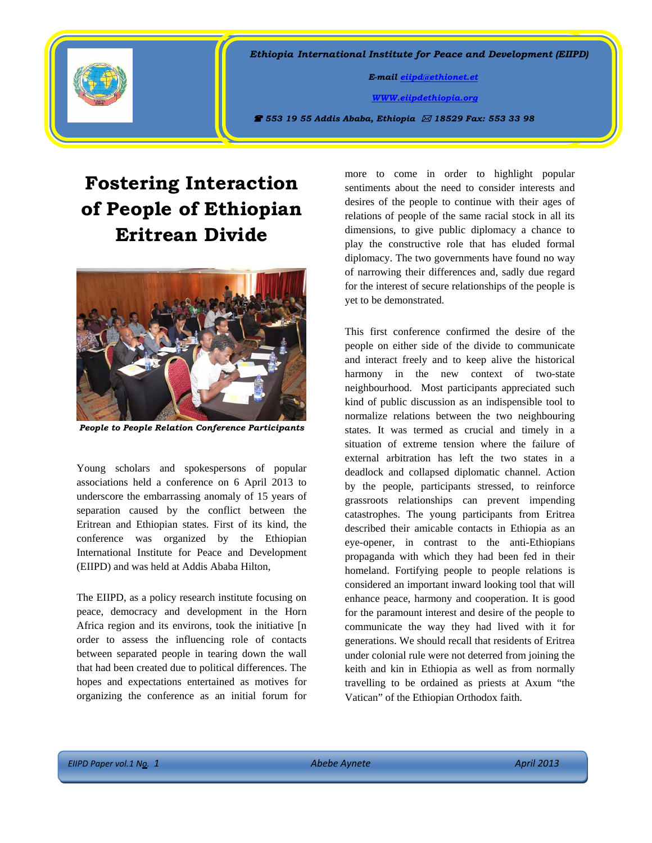

*Ethiopia International Institute for Peace and Development (EIIPD)* 

 *E-mail [eiipd@ethionet.et](mailto:eiipd@ethionet.et)* 

 *[WWW.eiipdethiopia.org](http://www.eiipdethiopia.org/)* 

 *553 19 55 Addis Ababa, Ethiopia 18529 Fax: 553 33 98* 

## **Fostering Interaction of People of Ethiopian Eritrean Divide**



*People to People Relation Conference Participants* 

Young scholars and spokespersons of popular associations held a conference on 6 April 2013 to underscore the embarrassing anomaly of 15 years of separation caused by the conflict between the Eritrean and Ethiopian states. First of its kind, the conference was organized by the Ethiopian International Institute for Peace and Development (EIIPD) and was held at Addis Ababa Hilton,

The EIIPD, as a policy research institute focusing on peace, democracy and development in the Horn Africa region and its environs, took the initiative [n order to assess the influencing role of contacts between separated people in tearing down the wall that had been created due to political differences. The hopes and expectations entertained as motives for organizing the conference as an initial forum for

more to come in order to highlight popular sentiments about the need to consider interests and desires of the people to continue with their ages of relations of people of the same racial stock in all its dimensions, to give public diplomacy a chance to play the constructive role that has eluded formal diplomacy. The two governments have found no way of narrowing their differences and, sadly due regard for the interest of secure relationships of the people is yet to be demonstrated.

This first conference confirmed the desire of the people on either side of the divide to communicate and interact freely and to keep alive the historical harmony in the new context of two-state neighbourhood. Most participants appreciated such kind of public discussion as an indispensible tool to normalize relations between the two neighbouring states. It was termed as crucial and timely in a situation of extreme tension where the failure of external arbitration has left the two states in a deadlock and collapsed diplomatic channel. Action by the people, participants stressed, to reinforce grassroots relationships can prevent impending catastrophes. The young participants from Eritrea described their amicable contacts in Ethiopia as an eye-opener, in contrast to the anti-Ethiopians propaganda with which they had been fed in their homeland. Fortifying people to people relations is considered an important inward looking tool that will enhance peace, harmony and cooperation. It is good for the paramount interest and desire of the people to communicate the way they had lived with it for generations. We should recall that residents of Eritrea under colonial rule were not deterred from joining the keith and kin in Ethiopia as well as from normally travelling to be ordained as priests at Axum "the Vatican" of the Ethiopian Orthodox faith.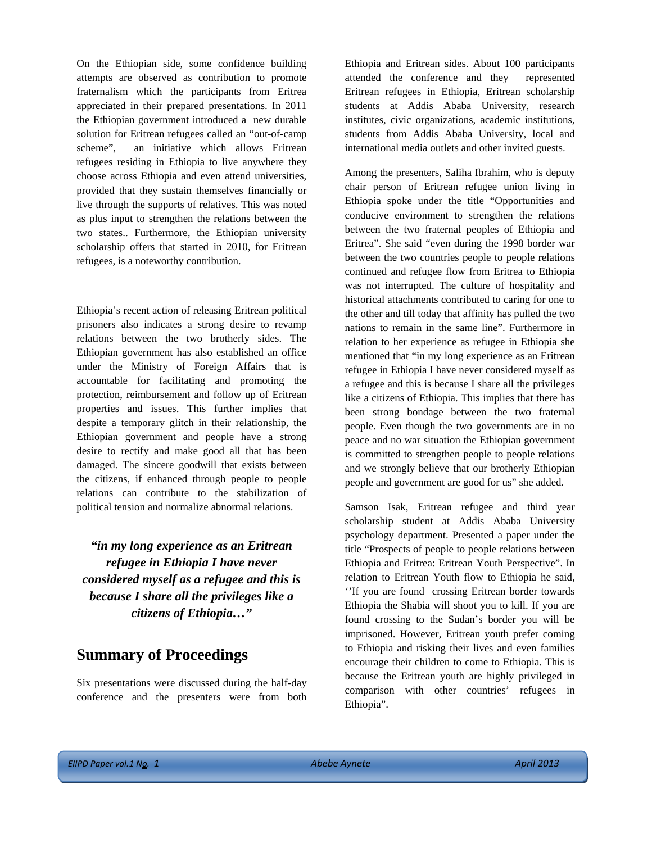On the Ethiopian side, some confidence building attempts are observed as contribution to promote fraternalism which the participants from Eritrea appreciated in their prepared presentations. In 2011 the Ethiopian government introduced a new durable solution for Eritrean refugees called an "out-of-camp scheme", an initiative which allows Eritrean refugees residing in Ethiopia to live anywhere they choose across Ethiopia and even attend universities, provided that they sustain themselves financially or live through the supports of relatives. This was noted as plus input to strengthen the relations between the two states.. Furthermore, the Ethiopian university scholarship offers that started in 2010, for Eritrean refugees, is a noteworthy contribution.

Ethiopia's recent action of releasing Eritrean political prisoners also indicates a strong desire to revamp relations between the two brotherly sides. The Ethiopian government has also established an office under the Ministry of Foreign Affairs that is accountable for facilitating and promoting the protection, reimbursement and follow up of Eritrean properties and issues. This further implies that despite a temporary glitch in their relationship, the Ethiopian government and people have a strong desire to rectify and make good all that has been damaged. The sincere goodwill that exists between the citizens, if enhanced through people to people relations can contribute to the stabilization of political tension and normalize abnormal relations.

*"in my long experience as an Eritrean refugee in Ethiopia I have never considered myself as a refugee and this is because I share all the privileges like a citizens of Ethiopia…"* 

## **Summary of Proceedings**

Six presentations were discussed during the half-day conference and the presenters were from both Ethiopia and Eritrean sides. About 100 participants attended the conference and they represented Eritrean refugees in Ethiopia, Eritrean scholarship students at Addis Ababa University, research institutes, civic organizations, academic institutions, students from Addis Ababa University, local and international media outlets and other invited guests.

Among the presenters, Saliha Ibrahim, who is deputy chair person of Eritrean refugee union living in Ethiopia spoke under the title "Opportunities and conducive environment to strengthen the relations between the two fraternal peoples of Ethiopia and Eritrea". She said "even during the 1998 border war between the two countries people to people relations continued and refugee flow from Eritrea to Ethiopia was not interrupted. The culture of hospitality and historical attachments contributed to caring for one to the other and till today that affinity has pulled the two nations to remain in the same line". Furthermore in relation to her experience as refugee in Ethiopia she mentioned that "in my long experience as an Eritrean refugee in Ethiopia I have never considered myself as a refugee and this is because I share all the privileges like a citizens of Ethiopia. This implies that there has been strong bondage between the two fraternal people. Even though the two governments are in no peace and no war situation the Ethiopian government is committed to strengthen people to people relations and we strongly believe that our brotherly Ethiopian people and government are good for us" she added.

Samson Isak, Eritrean refugee and third year scholarship student at Addis Ababa University psychology department. Presented a paper under the title "Prospects of people to people relations between Ethiopia and Eritrea: Eritrean Youth Perspective". In relation to Eritrean Youth flow to Ethiopia he said, ''If you are found crossing Eritrean border towards Ethiopia the Shabia will shoot you to kill. If you are found crossing to the Sudan's border you will be imprisoned. However, Eritrean youth prefer coming to Ethiopia and risking their lives and even families encourage their children to come to Ethiopia. This is because the Eritrean youth are highly privileged in comparison with other countries' refugees in Ethiopia".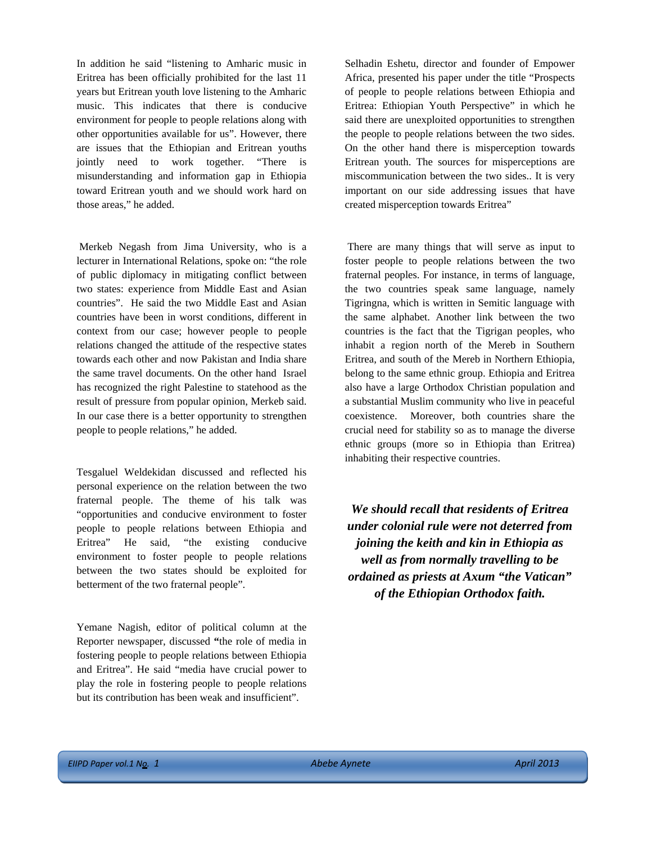In addition he said "listening to Amharic music in Eritrea has been officially prohibited for the last 11 years but Eritrean youth love listening to the Amharic music. This indicates that there is conducive environment for people to people relations along with other opportunities available for us". However, there are issues that the Ethiopian and Eritrean youths jointly need to work together. "There is misunderstanding and information gap in Ethiopia toward Eritrean youth and we should work hard on those areas," he added.

 Merkeb Negash from Jima University, who is a lecturer in International Relations, spoke on: "the role of public diplomacy in mitigating conflict between two states: experience from Middle East and Asian countries". He said the two Middle East and Asian countries have been in worst conditions, different in context from our case; however people to people relations changed the attitude of the respective states towards each other and now Pakistan and India share the same travel documents. On the other hand Israel has recognized the right Palestine to statehood as the result of pressure from popular opinion, Merkeb said. In our case there is a better opportunity to strengthen people to people relations," he added.

Tesgaluel Weldekidan discussed and reflected his personal experience on the relation between the two fraternal people. The theme of his talk was "opportunities and conducive environment to foster people to people relations between Ethiopia and Eritrea" He said, "the existing conducive environment to foster people to people relations between the two states should be exploited for betterment of the two fraternal people".

Yemane Nagish, editor of political column at the Reporter newspaper, discussed **"**the role of media in fostering people to people relations between Ethiopia and Eritrea". He said "media have crucial power to play the role in fostering people to people relations but its contribution has been weak and insufficient".

Selhadin Eshetu, director and founder of Empower Africa, presented his paper under the title "Prospects of people to people relations between Ethiopia and Eritrea: Ethiopian Youth Perspective" in which he said there are unexploited opportunities to strengthen the people to people relations between the two sides. On the other hand there is misperception towards Eritrean youth. The sources for misperceptions are miscommunication between the two sides.. It is very important on our side addressing issues that have created misperception towards Eritrea"

 There are many things that will serve as input to foster people to people relations between the two fraternal peoples. For instance, in terms of language, the two countries speak same language, namely Tigringna, which is written in Semitic language with the same alphabet. Another link between the two countries is the fact that the Tigrigan peoples, who inhabit a region north of the Mereb in Southern Eritrea, and south of the Mereb in Northern Ethiopia, belong to the same ethnic group. Ethiopia and Eritrea also have a large Orthodox Christian population and a substantial Muslim community who live in peaceful coexistence. Moreover, both countries share the crucial need for stability so as to manage the diverse ethnic groups (more so in Ethiopia than Eritrea) inhabiting their respective countries.

*We should recall that residents of Eritrea under colonial rule were not deterred from joining the keith and kin in Ethiopia as well as from normally travelling to be ordained as priests at Axum "the Vatican" of the Ethiopian Orthodox faith.*